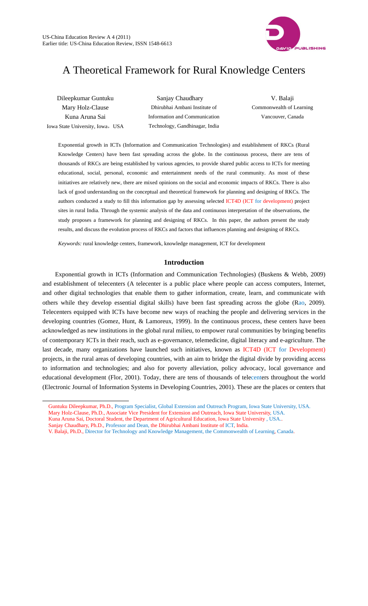

# A Theoretical Framework for Rural Knowledge Centers

Dileepkumar Guntuku Mary Holz-Clause Kuna Aruna Sai Iowa State University, Iowa, USA

 $\overline{a}$ 

 Sanjay Chaudhary Dhirubhai Ambani Institute of Information and Communication Technology, Gandhinagar, India

V. Balaji Commonwealth of Learning Vancouver, Canada

Exponential growth in ICTs (Information and Communication Technologies) and establishment of RKCs (Rural Knowledge Centers) have been fast spreading across the globe. In the continuous process, there are tens of thousands of RKCs are being established by various agencies, to provide shared public access to ICTs for meeting educational, social, personal, economic and entertainment needs of the rural community. As most of these initiatives are relatively new, there are mixed opinions on the social and economic impacts of RKCs. There is also lack of good understanding on the conceptual and theoretical framework for planning and designing of RKCs. The authors conducted a study to fill this information gap by assessing selected ICT4D (ICT for development) project sites in rural India. Through the systemic analysis of the data and continuous interpretation of the observations, the study proposes a framework for planning and designing of RKCs. In this paper, the authors present the study results, and discuss the evolution process of RKCs and factors that influences planning and designing of RKCs.

*Keywords:* rural knowledge centers, framework, knowledge management, ICT for development

# **1ntroduction**

Exponential growth in ICTs (Information and Communication Technologies) (Buskens & Webb, 2009) and establishment of telecenters (A telecenter is a public place where people can access computers, Internet, and other digital technologies that enable them to gather information, create, learn, and communicate with others while they develop essential digital skills) have been fast spreading across the globe (Rao, 2009). Telecenters equipped with ICTs have become new ways of reaching the people and delivering services in the developing countries (Gomez, Hunt, & Lamoreux, 1999). In the continuous process, these centers have been acknowledged as new institutions in the global rural milieu, to empower rural communities by bringing benefits of contemporary ICTs in their reach, such as e-governance, telemedicine, digital literacy and e-agriculture. The last decade, many organizations have launched such initiatives, known as ICT4D (ICT for Development) projects, in the rural areas of developing countries, with an aim to bridge the digital divide by providing access to information and technologies; and also for poverty alleviation, policy advocacy, local governance and educational development (Flor, 2001). Today, there are tens of thousands of telecenters throughout the world (Electronic Journal of Information Systems in Developing Countries, 2001). These are the places or centers that

Guntuku Dileepkumar, Ph.D., Program Specialist, Global Extension and Outreach Program, Iowa State University, USA.

Mary Holz-Clause, Ph.D., Associate Vice President for Extension and Outreach, Iowa State University, USA.

Kuna Aruna Sai, Doctoral Student, the Department of Agricultural Education, Iowa State University , USA.. Sanjay Chaudhary, Ph.D., Professor and Dean, the Dhirubhai Ambani Institute of ICT, India.

V. Balaji, Ph.D., Director for Technology and Knowledge Management, the Commonwealth of Learning, Canada.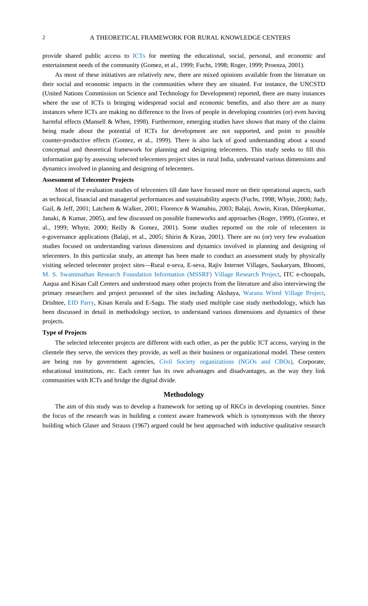provide shared public access to ICTs for meeting the educational, social, personal, and economic and entertainment needs of the community (Gomez, et al., 1999; Fuchs, 1998; Roger, 1999; Proenza, 2001).

As most of these initiatives are relatively new, there are mixed opinions available from the literature on their social and economic impacts in the communities where they are situated. For instance, the UNCSTD (United Nations Commission on Science and Technology for Development) reported, there are many instances where the use of ICTs is bringing widespread social and economic benefits, and also there are as many instances where ICTs are making no difference to the lives of people in developing countries (or) even having harmful effects (Mansell & When, 1998). Furthermore, emerging studies have shown that many of the claims being made about the potential of ICTs for development are not supported, and point to possible counter-productive effects (Gomez, et al., 1999). There is also lack of good understanding about a sound conceptual and theoretical framework for planning and designing telecenters. This study seeks to fill this information gap by assessing selected telecenters project sites in rural India, understand various dimensions and dynamics involved in planning and designing of telecenters.

## **Assessment of Telecenter Projects**

Most of the evaluation studies of telecenters till date have focused more on their operational aspects, such as technical, financial and managerial performances and sustainability aspects (Fuchs, 1998; Whyte, 2000; Judy, Gail, & Jeff, 2001; Latchem & Walker, 2001; Florence & Wamahiu, 2003; Balaji, Aswin, Kiran, Dileepkumar, Janaki, & Kumar, 2005), and few discussed on possible frameworks and approaches (Roger, 1999), (Gomez, et al., 1999; Whyte, 2000; Reilly & Gomez, 2001). Some studies reported on the role of telecenters in e-governance applications (Balaji, et al., 2005; Shirin & Kiran, 2001). There are no (or) very few evaluation studies focused on understanding various dimensions and dynamics involved in planning and designing of telecenters. In this particular study, an attempt has been made to conduct an assessment study by physically visiting selected telecenter project sites—Rural e-seva, E-seva, Rajiv Internet Villages, Saukaryam, Bhoomi, M. S. Swaminathan Research Foundation Information (MSSRF) Village Research Project, ITC e-choupals, Aaqua and Kisan Call Centers and understood many other projects from the literature and also interviewing the primary researchers and project personnel of the sites including Akshaya, Warana Wired Village Project, Drishtee, EID Parry, Kisan Kerala and E-Sagu. The study used multiple case study methodology, which has been discussed in detail in methodology section, to understand various dimensions and dynamics of these projects.

#### **Type of Projects**

The selected telecenter projects are different with each other, as per the public ICT access, varying in the clientele they serve, the services they provide, as well as their business or organizational model. These centers are being run by government agencies, Civil Society organizations (NGOs and CBOs), Corporate, educational institutions, etc. Each center has its own advantages and disadvantages, as the way they link communities with ICTs and bridge the digital divide.

#### **Methodology**

The aim of this study was to develop a framework for setting up of RKCs in developing countries. Since the focus of the research was in building a context aware framework which is synonymous with the theory building which Glaser and Strauss (1967) argued could be best approached with inductive qualitative research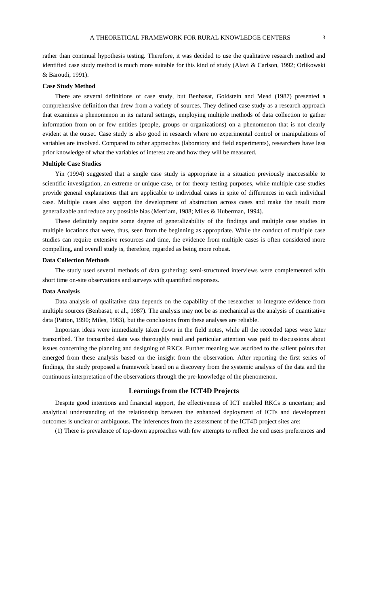rather than continual hypothesis testing. Therefore, it was decided to use the qualitative research method and identified case study method is much more suitable for this kind of study (Alavi & Carlson, 1992; Orlikowski & Baroudi, 1991).

#### **Case Study Method**

There are several definitions of case study, but Benbasat, Goldstein and Mead (1987) presented a comprehensive definition that drew from a variety of sources. They defined case study as a research approach that examines a phenomenon in its natural settings, employing multiple methods of data collection to gather information from on or few entities (people, groups or organizations) on a phenomenon that is not clearly evident at the outset. Case study is also good in research where no experimental control or manipulations of variables are involved. Compared to other approaches (laboratory and field experiments), researchers have less prior knowledge of what the variables of interest are and how they will be measured.

## **Multiple Case Studies**

Yin (1994) suggested that a single case study is appropriate in a situation previously inaccessible to scientific investigation, an extreme or unique case, or for theory testing purposes, while multiple case studies provide general explanations that are applicable to individual cases in spite of differences in each individual case. Multiple cases also support the development of abstraction across cases and make the result more generalizable and reduce any possible bias (Merriam, 1988; Miles & Huberman, 1994).

These definitely require some degree of generalizability of the findings and multiple case studies in multiple locations that were, thus, seen from the beginning as appropriate. While the conduct of multiple case studies can require extensive resources and time, the evidence from multiple cases is often considered more compelling, and overall study is, therefore, regarded as being more robust.

### **Data Collection Methods**

The study used several methods of data gathering: semi-structured interviews were complemented with short time on-site observations and surveys with quantified responses.

## **Data Analysis**

Data analysis of qualitative data depends on the capability of the researcher to integrate evidence from multiple sources (Benbasat, et al., 1987). The analysis may not be as mechanical as the analysis of quantitative data (Patton, 1990; Miles, 1983), but the conclusions from these analyses are reliable.

Important ideas were immediately taken down in the field notes, while all the recorded tapes were later transcribed. The transcribed data was thoroughly read and particular attention was paid to discussions about issues concerning the planning and designing of RKCs. Further meaning was ascribed to the salient points that emerged from these analysis based on the insight from the observation. After reporting the first series of findings, the study proposed a framework based on a discovery from the systemic analysis of the data and the continuous interpretation of the observations through the pre-knowledge of the phenomenon.

# **Learnings from the ICT4D Projects**

Despite good intentions and financial support, the effectiveness of ICT enabled RKCs is uncertain; and analytical understanding of the relationship between the enhanced deployment of ICTs and development outcomes is unclear or ambiguous. The inferences from the assessment of the ICT4D project sites are:

(1) There is prevalence of top-down approaches with few attempts to reflect the end users preferences and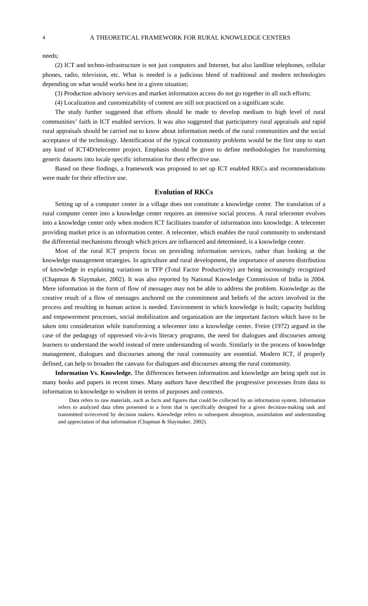needs;

(2) ICT and techno-infrastructure is not just computers and Internet, but also landline telephones, cellular phones, radio, television, etc. What is needed is a judicious blend of traditional and modern technologies depending on what would works best in a given situation;

(3) Production advisory services and market information access do not go together in all such efforts;

(4) Localization and customizability of content are still not practiced on a significant scale.

The study further suggested that efforts should be made to develop medium to high level of rural communities' faith in ICT enabled services. It was also suggested that participatory rural appraisals and rapid rural appraisals should be carried out to know about information needs of the rural communities and the social acceptance of the technology. Identification of the typical community problems would be the first step to start any kind of ICT4D/telecenter project. Emphasis should be given to define methodologies for transforming generic datasets into locale specific information for their effective use.

Based on these findings, a framework was proposed to set up ICT enabled RKCs and recommendations were made for their effective use.

#### **Evolution of RKCs**

Setting up of a computer center in a village does not constitute a knowledge center. The translation of a rural computer center into a knowledge center requires an intensive social process. A rural telecenter evolves into a knowledge center only when modern ICT facilitates transfer of information into knowledge. A telecenter providing market price is an information center. A telecenter, which enables the rural community to understand the differential mechanisms through which prices are influenced and determined, is a knowledge center.

Most of the rural ICT projects focus on providing information services, rather than looking at the knowledge management strategies. In agriculture and rural development, the importance of uneven distribution of knowledge in explaining variations in TFP (Total Factor Productivity) are being increasingly recognized (Chapman & Slaymaker, 2002). It was also reported by National Knowledge Commission of India in 2004. Mere information in the form of flow of messages may not be able to address the problem. Knowledge as the creative result of a flow of messages anchored on the commitment and beliefs of the actors involved in the process and resulting in human action is needed. Environment in which knowledge is built; capacity building and empowerment processes, social mobilization and organization are the important factors which have to be taken into consideration while transforming a telecenter into a knowledge center. Freire (1972) argued in the case of the pedagogy of oppressed vis-à-vis literacy programs, the need for dialogues and discourses among learners to understand the world instead of mere understanding of words. Similarly in the process of knowledge management, dialogues and discourses among the rural community are essential. Modern ICT, if properly defined, can help to broaden the canvass for dialogues and discourses among the rural community.

**Information Vs. Knowledge.** The differences between information and knowledge are being spelt out in many books and papers in recent times. Many authors have described the progressive processes from data to information to knowledge to wisdom in terms of purposes and contexts.

Data refers to raw materials, such as facts and figures that could be collected by an information system. Information refers to analyzed data often presented in a form that is specifically designed for a given decision-making task and transmitted to/received by decision makers. Knowledge refers to subsequent absorption, assimilation and understanding and appreciation of that information (Chapman & Slaymaker, 2002).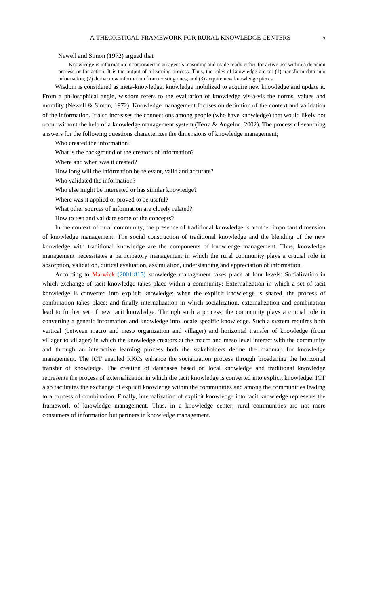#### A THEORETICAL FRAMEWORK FOR RURAL KNOWLEDGE CENTERS  $5$

Newell and Simon (1972) argued that

Knowledge is information incorporated in an agent's reasoning and made ready either for active use within a decision process or for action. It is the output of a learning process. Thus, the roles of knowledge are to: (1) transform data into information; (2) derive new information from existing ones; and (3) acquire new knowledge pieces.

Wisdom is considered as meta-knowledge, knowledge mobilized to acquire new knowledge and update it. From a philosophical angle, wisdom refers to the evaluation of knowledge vis-à-vis the norms, values and morality (Newell & Simon, 1972). Knowledge management focuses on definition of the context and validation of the information. It also increases the connections among people (who have knowledge) that would likely not occur without the help of a knowledge management system (Terra & Angelon, 2002). The process of searching answers for the following questions characterizes the dimensions of knowledge management;

Who created the information?

What is the background of the creators of information?

Where and when was it created?

How long will the information be relevant, valid and accurate?

Who validated the information?

Who else might be interested or has similar knowledge?

Where was it applied or proved to be useful?

What other sources of information are closely related?

How to test and validate some of the concepts?

In the context of rural community, the presence of traditional knowledge is another important dimension of knowledge management. The social construction of traditional knowledge and the blending of the new knowledge with traditional knowledge are the components of knowledge management. Thus, knowledge management necessitates a participatory management in which the rural community plays a crucial role in absorption, validation, critical evaluation, assimilation, understanding and appreciation of information.

According to Marwick (2001:815) knowledge management takes place at four levels: Socialization in which exchange of tacit knowledge takes place within a community; Externalization in which a set of tacit knowledge is converted into explicit knowledge; when the explicit knowledge is shared, the process of combination takes place; and finally internalization in which socialization, externalization and combination lead to further set of new tacit knowledge. Through such a process, the community plays a crucial role in converting a generic information and knowledge into locale specific knowledge. Such a system requires both vertical (between macro and meso organization and villager) and horizontal transfer of knowledge (from villager to villager) in which the knowledge creators at the macro and meso level interact with the community and through an interactive learning process both the stakeholders define the roadmap for knowledge management. The ICT enabled RKCs enhance the socialization process through broadening the horizontal transfer of knowledge. The creation of databases based on local knowledge and traditional knowledge represents the process of externalization in which the tacit knowledge is converted into explicit knowledge. ICT also facilitates the exchange of explicit knowledge within the communities and among the communities leading to a process of combination. Finally, internalization of explicit knowledge into tacit knowledge represents the framework of knowledge management. Thus, in a knowledge center, rural communities are not mere consumers of information but partners in knowledge management.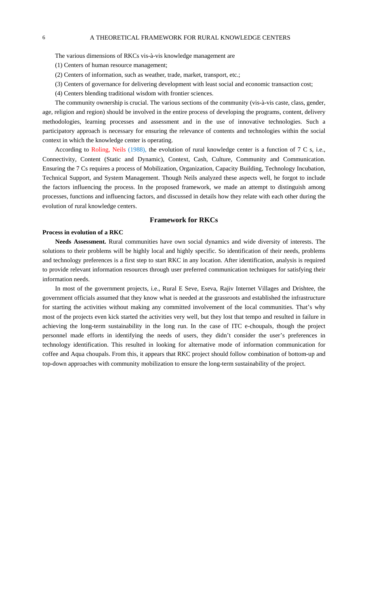#### 6 A THEORETICAL FRAMEWORK FOR RURAL KNOWLEDGE CENTERS

The various dimensions of RKCs vis-à-vis knowledge management are

(1) Centers of human resource management;

(2) Centers of information, such as weather, trade, market, transport, etc.;

- (3) Centers of governance for delivering development with least social and economic transaction cost;
- (4) Centers blending traditional wisdom with frontier sciences.

The community ownership is crucial. The various sections of the community (vis-à-vis caste, class, gender, age, religion and region) should be involved in the entire process of developing the programs, content, delivery methodologies, learning processes and assessment and in the use of innovative technologies. Such a participatory approach is necessary for ensuring the relevance of contents and technologies within the social context in which the knowledge center is operating.

According to Roling, Neils (1988), the evolution of rural knowledge center is a function of 7 C s, i.e., Connectivity, Content (Static and Dynamic), Context, Cash, Culture, Community and Communication. Ensuring the 7 Cs requires a process of Mobilization, Organization, Capacity Building, Technology Incubation, Technical Support, and System Management. Though Neils analyzed these aspects well, he forgot to include the factors influencing the process. In the proposed framework, we made an attempt to distinguish among processes, functions and influencing factors, and discussed in details how they relate with each other during the evolution of rural knowledge centers.

# **Framework for RKCs**

# **Process in evolution of a RKC**

**Needs Assessment.** Rural communities have own social dynamics and wide diversity of interests. The solutions to their problems will be highly local and highly specific. So identification of their needs, problems and technology preferences is a first step to start RKC in any location. After identification, analysis is required to provide relevant information resources through user preferred communication techniques for satisfying their information needs.

In most of the government projects, i.e., Rural E Seve, Eseva, Rajiv Internet Villages and Drishtee, the government officials assumed that they know what is needed at the grassroots and established the infrastructure for starting the activities without making any committed involvement of the local communities. That's why most of the projects even kick started the activities very well, but they lost that tempo and resulted in failure in achieving the long-term sustainability in the long run. In the case of ITC e-choupals, though the project personnel made efforts in identifying the needs of users, they didn't consider the user's preferences in technology identification. This resulted in looking for alternative mode of information communication for coffee and Aqua choupals. From this, it appears that RKC project should follow combination of bottom-up and top-down approaches with community mobilization to ensure the long-term sustainability of the project.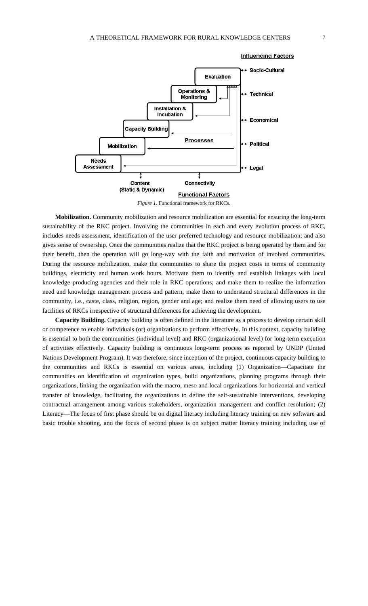

# **Influencing Factors**

*Figure 1.* Functional framework for RKCs.

**Mobilization.** Community mobilization and resource mobilization are essential for ensuring the long-term sustainability of the RKC project. Involving the communities in each and every evolution process of RKC, includes needs assessment, identification of the user preferred technology and resource mobilization; and also gives sense of ownership. Once the communities realize that the RKC project is being operated by them and for their benefit, then the operation will go long-way with the faith and motivation of involved communities. During the resource mobilization, make the communities to share the project costs in terms of community buildings, electricity and human work hours. Motivate them to identify and establish linkages with local knowledge producing agencies and their role in RKC operations; and make them to realize the information need and knowledge management process and pattern; make them to understand structural differences in the community, i.e., caste, class, religion, region, gender and age; and realize them need of allowing users to use facilities of RKCs irrespective of structural differences for achieving the development.

**Capacity Building.** Capacity building is often defined in the literature as a process to develop certain skill or competence to enable individuals (or) organizations to perform effectively. In this context, capacity building is essential to both the communities (individual level) and RKC (organizational level) for long-term execution of activities effectively. Capacity building is continuous long-term process as reported by UNDP (United Nations Development Program). It was therefore, since inception of the project, continuous capacity building to the communities and RKCs is essential on various areas, including (1) Organization—Capacitate the communities on identification of organization types, build organizations, planning programs through their organizations, linking the organization with the macro, meso and local organizations for horizontal and vertical transfer of knowledge, facilitating the organizations to define the self-sustainable interventions, developing contractual arrangement among various stakeholders, organization management and conflict resolution; (2) Literacy—The focus of first phase should be on digital literacy including literacy training on new software and basic trouble shooting, and the focus of second phase is on subject matter literacy training including use of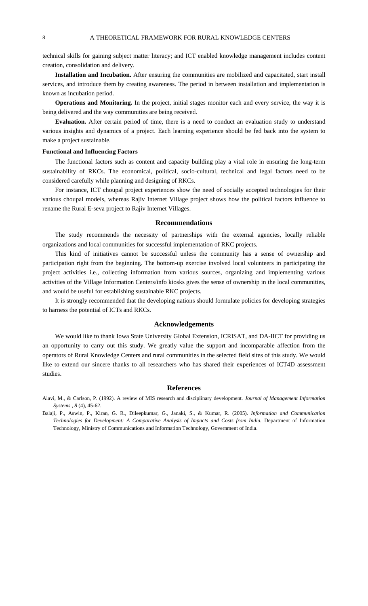technical skills for gaining subject matter literacy; and ICT enabled knowledge management includes content creation, consolidation and delivery.

**Installation and Incubation.** After ensuring the communities are mobilized and capacitated, start install services, and introduce them by creating awareness. The period in between installation and implementation is known as incubation period.

**Operations and Monitoring.** In the project, initial stages monitor each and every service, the way it is being delivered and the way communities are being received.

**Evaluation.** After certain period of time, there is a need to conduct an evaluation study to understand various insights and dynamics of a project. Each learning experience should be fed back into the system to make a project sustainable.

#### **Functional and Influencing Factors**

The functional factors such as content and capacity building play a vital role in ensuring the long-term sustainability of RKCs. The economical, political, socio-cultural, technical and legal factors need to be considered carefully while planning and designing of RKCs.

For instance, ICT choupal project experiences show the need of socially accepted technologies for their various choupal models, whereas Rajiv Internet Village project shows how the political factors influence to rename the Rural E-seva project to Rajiv Internet Villages.

#### **Recommendations**

The study recommends the necessity of partnerships with the external agencies, locally reliable organizations and local communities for successful implementation of RKC projects.

This kind of initiatives cannot be successful unless the community has a sense of ownership and participation right from the beginning. The bottom-up exercise involved local volunteers in participating the project activities i.e., collecting information from various sources, organizing and implementing various activities of the Village Information Centers/info kiosks gives the sense of ownership in the local communities, and would be useful for establishing sustainable RKC projects.

It is strongly recommended that the developing nations should formulate policies for developing strategies to harness the potential of ICTs and RKCs.

# **Acknowledgements**

We would like to thank Iowa State University Global Extension, ICRISAT, and DA-IICT for providing us an opportunity to carry out this study. We greatly value the support and incomparable affection from the operators of Rural Knowledge Centers and rural communities in the selected field sites of this study. We would like to extend our sincere thanks to all researchers who has shared their experiences of ICT4D assessment studies.

# **References**

Alavi, M., & Carlson, P. (1992). A review of MIS research and disciplinary development. *Journal of Management Information Systems , 8* (4), 45-62.

Balaji, P., Aswin, P., Kiran, G. R., Dileepkumar, G., Janaki, S., & Kumar, R. (2005). *Information and Communication Technologies for Development: A Comparative Analysis of Impacts and Costs from India.* Department of Information Technology, Ministry of Communications and Information Technology, Government of India.